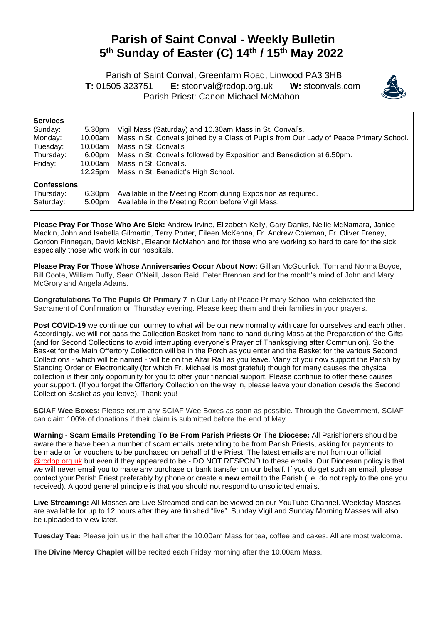## **Parish of Saint Conval - Weekly Bulletin 5 th Sunday of Easter (C) 14th / 15th May 2022**

 Parish of Saint Conval, Greenfarm Road, Linwood PA3 3HB **T:** 01505 323751 **E:** [stconval@rcdop.org.uk](mailto:stconval@rcdop.org.uk) **W:** stconvals.com Parish Priest: Canon Michael McMahon



| <b>Services</b>    |         |                                                                                         |
|--------------------|---------|-----------------------------------------------------------------------------------------|
| Sunday:            | 5.30pm  | Vigil Mass (Saturday) and 10.30am Mass in St. Conval's.                                 |
| Monday:            | 10.00am | Mass in St. Conval's joined by a Class of Pupils from Our Lady of Peace Primary School. |
| Tuesday:           | 10.00am | Mass in St. Conval's                                                                    |
| Thursday:          | 6.00pm  | Mass in St. Conval's followed by Exposition and Benediction at 6.50pm.                  |
| Friday:            | 10.00am | Mass in St. Conval's.                                                                   |
|                    | 12.25pm | Mass in St. Benedict's High School.                                                     |
| <b>Confessions</b> |         |                                                                                         |
| Thursday:          | 6.30pm  | Available in the Meeting Room during Exposition as required.                            |
| Saturday:          | 5.00pm  | Available in the Meeting Room before Vigil Mass.                                        |

**Please Pray For Those Who Are Sick:** Andrew Irvine, Elizabeth Kelly, Gary Danks, Nellie McNamara, Janice Mackin, John and Isabella Gilmartin, Terry Porter, Eileen McKenna, Fr. Andrew Coleman, Fr. Oliver Freney, Gordon Finnegan, David McNish, Eleanor McMahon and for those who are working so hard to care for the sick especially those who work in our hospitals.

**Please Pray For Those Whose Anniversaries Occur About Now:** Gillian McGourlick, Tom and Norma Boyce, Bill Coote, William Duffy, Sean O'Neill, Jason Reid, Peter Brennan and for the month's mind of John and Mary McGrory and Angela Adams.

**Congratulations To The Pupils Of Primary 7** in Our Lady of Peace Primary School who celebrated the Sacrament of Confirmation on Thursday evening. Please keep them and their families in your prayers.

**Post COVID-19** we continue our journey to what will be our new normality with care for ourselves and each other. Accordingly, we will not pass the Collection Basket from hand to hand during Mass at the Preparation of the Gifts (and for Second Collections to avoid interrupting everyone's Prayer of Thanksgiving after Communion). So the Basket for the Main Offertory Collection will be in the Porch as you enter and the Basket for the various Second Collections - which will be named - will be on the Altar Rail as you leave. Many of you now support the Parish by Standing Order or Electronically (for which Fr. Michael is most grateful) though for many causes the physical collection is their only opportunity for you to offer your financial support. Please continue to offer these causes your support. (If you forget the Offertory Collection on the way in, please leave your donation *beside* the Second Collection Basket as you leave). Thank you!

**SCIAF Wee Boxes:** Please return any SCIAF Wee Boxes as soon as possible. Through the Government, SCIAF can claim 100% of donations if their claim is submitted before the end of May.

**Warning - Scam Emails Pretending To Be From Parish Priests Or The Diocese:** All Parishioners should be aware there have been a number of scam emails pretending to be from Parish Priests, asking for payments to be made or for vouchers to be purchased on behalf of the Priest. The latest emails are not from our official @rcdop.org.uk but even if they appeared to be - DO NOT RESPOND to these emails. Our Diocesan policy is that we will never email you to make any purchase or bank transfer on our behalf. If you do get such an email, please contact your Parish Priest preferably by phone or create a **new** email to the Parish (i.e. do not reply to the one you received). A good general principle is that you should not respond to unsolicited emails.

**Live Streaming:** All Masses are Live Streamed and can be viewed on our YouTube Channel. Weekday Masses are available for up to 12 hours after they are finished "live". Sunday Vigil and Sunday Morning Masses will also be uploaded to view later.

**Tuesday Tea:** Please join us in the hall after the 10.00am Mass for tea, coffee and cakes. All are most welcome.

**The Divine Mercy Chaplet** will be recited each Friday morning after the 10.00am Mass.